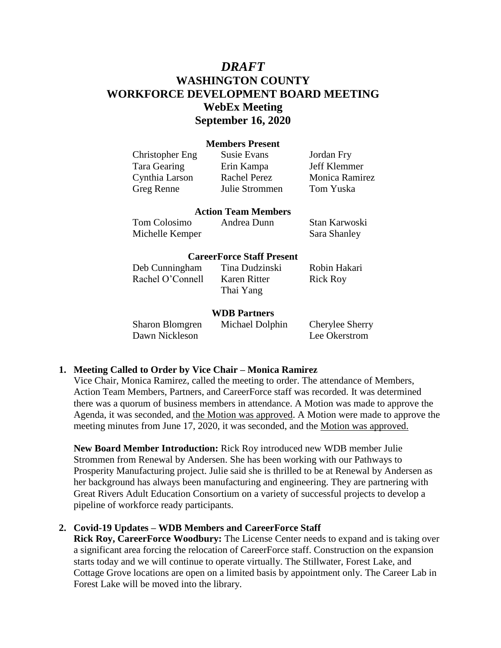# *DRAFT* **WASHINGTON COUNTY WORKFORCE DEVELOPMENT BOARD MEETING WebEx Meeting September 16, 2020**

## **Members Present**

| Christopher Eng | Susie Evans         | Jordan Fry     |
|-----------------|---------------------|----------------|
| Tara Gearing    | Erin Kampa          | Jeff Klemmer   |
| Cynthia Larson  | <b>Rachel Perez</b> | Monica Ramirez |
| Greg Renne      | Julie Strommen      | Tom Yuska      |

#### **Action Team Members**

| Tom Colosimo    | Andrea Dunn | Stan Karwoski |
|-----------------|-------------|---------------|
| Michelle Kemper |             | Sara Shanley  |

#### **CareerForce Staff Present**

Deb Cunningham Tina Dudzinski Robin Hakari Rachel O'Connell Karen Ritter Rick Roy

Thai Yang

#### **WDB Partners**

Dawn Nickleson Lee Okerstrom

Sharon Blomgren Michael Dolphin Cherylee Sherry

#### **1. Meeting Called to Order by Vice Chair – Monica Ramirez**

Vice Chair, Monica Ramirez, called the meeting to order. The attendance of Members, Action Team Members, Partners, and CareerForce staff was recorded. It was determined there was a quorum of business members in attendance. A Motion was made to approve the Agenda, it was seconded, and the Motion was approved. A Motion were made to approve the meeting minutes from June 17, 2020, it was seconded, and the Motion was approved.

**New Board Member Introduction:** Rick Roy introduced new WDB member Julie Strommen from Renewal by Andersen. She has been working with our Pathways to Prosperity Manufacturing project. Julie said she is thrilled to be at Renewal by Andersen as her background has always been manufacturing and engineering. They are partnering with Great Rivers Adult Education Consortium on a variety of successful projects to develop a pipeline of workforce ready participants.

## **2. Covid-19 Updates – WDB Members and CareerForce Staff**

**Rick Roy, CareerForce Woodbury:** The License Center needs to expand and is taking over a significant area forcing the relocation of CareerForce staff. Construction on the expansion starts today and we will continue to operate virtually. The Stillwater, Forest Lake, and Cottage Grove locations are open on a limited basis by appointment only. The Career Lab in Forest Lake will be moved into the library.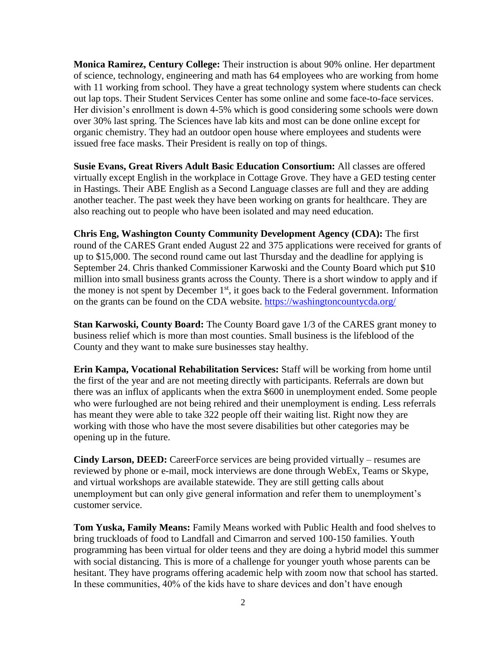**Monica Ramirez, Century College:** Their instruction is about 90% online. Her department of science, technology, engineering and math has 64 employees who are working from home with 11 working from school. They have a great technology system where students can check out lap tops. Their Student Services Center has some online and some face-to-face services. Her division's enrollment is down 4-5% which is good considering some schools were down over 30% last spring. The Sciences have lab kits and most can be done online except for organic chemistry. They had an outdoor open house where employees and students were issued free face masks. Their President is really on top of things.

**Susie Evans, Great Rivers Adult Basic Education Consortium:** All classes are offered virtually except English in the workplace in Cottage Grove. They have a GED testing center in Hastings. Their ABE English as a Second Language classes are full and they are adding another teacher. The past week they have been working on grants for healthcare. They are also reaching out to people who have been isolated and may need education.

**Chris Eng, Washington County Community Development Agency (CDA):** The first round of the CARES Grant ended August 22 and 375 applications were received for grants of up to \$15,000. The second round came out last Thursday and the deadline for applying is September 24. Chris thanked Commissioner Karwoski and the County Board which put \$10 million into small business grants across the County. There is a short window to apply and if the money is not spent by December  $1<sup>st</sup>$ , it goes back to the Federal government. Information on the grants can be found on the CDA website.<https://washingtoncountycda.org/>

**Stan Karwoski, County Board:** The County Board gave 1/3 of the CARES grant money to business relief which is more than most counties. Small business is the lifeblood of the County and they want to make sure businesses stay healthy.

**Erin Kampa, Vocational Rehabilitation Services:** Staff will be working from home until the first of the year and are not meeting directly with participants. Referrals are down but there was an influx of applicants when the extra \$600 in unemployment ended. Some people who were furloughed are not being rehired and their unemployment is ending. Less referrals has meant they were able to take 322 people off their waiting list. Right now they are working with those who have the most severe disabilities but other categories may be opening up in the future.

**Cindy Larson, DEED:** CareerForce services are being provided virtually – resumes are reviewed by phone or e-mail, mock interviews are done through WebEx, Teams or Skype, and virtual workshops are available statewide. They are still getting calls about unemployment but can only give general information and refer them to unemployment's customer service.

**Tom Yuska, Family Means:** Family Means worked with Public Health and food shelves to bring truckloads of food to Landfall and Cimarron and served 100-150 families. Youth programming has been virtual for older teens and they are doing a hybrid model this summer with social distancing. This is more of a challenge for younger youth whose parents can be hesitant. They have programs offering academic help with zoom now that school has started. In these communities, 40% of the kids have to share devices and don't have enough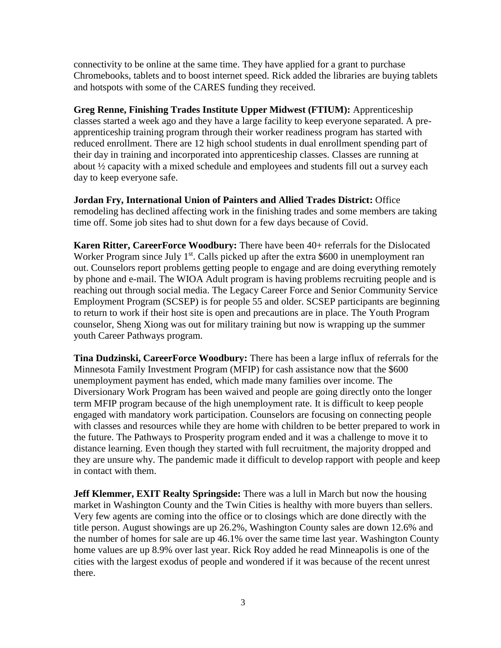connectivity to be online at the same time. They have applied for a grant to purchase Chromebooks, tablets and to boost internet speed. Rick added the libraries are buying tablets and hotspots with some of the CARES funding they received.

**Greg Renne, Finishing Trades Institute Upper Midwest (FTIUM):** Apprenticeship classes started a week ago and they have a large facility to keep everyone separated. A preapprenticeship training program through their worker readiness program has started with reduced enrollment. There are 12 high school students in dual enrollment spending part of their day in training and incorporated into apprenticeship classes. Classes are running at about ½ capacity with a mixed schedule and employees and students fill out a survey each day to keep everyone safe.

**Jordan Fry, International Union of Painters and Allied Trades District:** Office remodeling has declined affecting work in the finishing trades and some members are taking time off. Some job sites had to shut down for a few days because of Covid.

**Karen Ritter, CareerForce Woodbury:** There have been 40+ referrals for the Dislocated Worker Program since July  $1<sup>st</sup>$ . Calls picked up after the extra \$600 in unemployment ran out. Counselors report problems getting people to engage and are doing everything remotely by phone and e-mail. The WIOA Adult program is having problems recruiting people and is reaching out through social media. The Legacy Career Force and Senior Community Service Employment Program (SCSEP) is for people 55 and older. SCSEP participants are beginning to return to work if their host site is open and precautions are in place. The Youth Program counselor, Sheng Xiong was out for military training but now is wrapping up the summer youth Career Pathways program.

**Tina Dudzinski, CareerForce Woodbury:** There has been a large influx of referrals for the Minnesota Family Investment Program (MFIP) for cash assistance now that the \$600 unemployment payment has ended, which made many families over income. The Diversionary Work Program has been waived and people are going directly onto the longer term MFIP program because of the high unemployment rate. It is difficult to keep people engaged with mandatory work participation. Counselors are focusing on connecting people with classes and resources while they are home with children to be better prepared to work in the future. The Pathways to Prosperity program ended and it was a challenge to move it to distance learning. Even though they started with full recruitment, the majority dropped and they are unsure why. The pandemic made it difficult to develop rapport with people and keep in contact with them.

**Jeff Klemmer, EXIT Realty Springside:** There was a lull in March but now the housing market in Washington County and the Twin Cities is healthy with more buyers than sellers. Very few agents are coming into the office or to closings which are done directly with the title person. August showings are up 26.2%, Washington County sales are down 12.6% and the number of homes for sale are up 46.1% over the same time last year. Washington County home values are up 8.9% over last year. Rick Roy added he read Minneapolis is one of the cities with the largest exodus of people and wondered if it was because of the recent unrest there.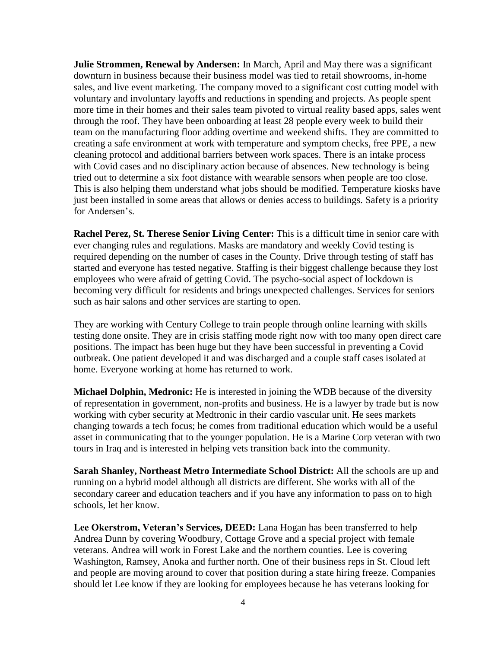**Julie Strommen, Renewal by Andersen:** In March, April and May there was a significant downturn in business because their business model was tied to retail showrooms, in-home sales, and live event marketing. The company moved to a significant cost cutting model with voluntary and involuntary layoffs and reductions in spending and projects. As people spent more time in their homes and their sales team pivoted to virtual reality based apps, sales went through the roof. They have been onboarding at least 28 people every week to build their team on the manufacturing floor adding overtime and weekend shifts. They are committed to creating a safe environment at work with temperature and symptom checks, free PPE, a new cleaning protocol and additional barriers between work spaces. There is an intake process with Covid cases and no disciplinary action because of absences. New technology is being tried out to determine a six foot distance with wearable sensors when people are too close. This is also helping them understand what jobs should be modified. Temperature kiosks have just been installed in some areas that allows or denies access to buildings. Safety is a priority for Andersen's.

**Rachel Perez, St. Therese Senior Living Center:** This is a difficult time in senior care with ever changing rules and regulations. Masks are mandatory and weekly Covid testing is required depending on the number of cases in the County. Drive through testing of staff has started and everyone has tested negative. Staffing is their biggest challenge because they lost employees who were afraid of getting Covid. The psycho-social aspect of lockdown is becoming very difficult for residents and brings unexpected challenges. Services for seniors such as hair salons and other services are starting to open.

They are working with Century College to train people through online learning with skills testing done onsite. They are in crisis staffing mode right now with too many open direct care positions. The impact has been huge but they have been successful in preventing a Covid outbreak. One patient developed it and was discharged and a couple staff cases isolated at home. Everyone working at home has returned to work.

**Michael Dolphin, Medronic:** He is interested in joining the WDB because of the diversity of representation in government, non-profits and business. He is a lawyer by trade but is now working with cyber security at Medtronic in their cardio vascular unit. He sees markets changing towards a tech focus; he comes from traditional education which would be a useful asset in communicating that to the younger population. He is a Marine Corp veteran with two tours in Iraq and is interested in helping vets transition back into the community.

**Sarah Shanley, Northeast Metro Intermediate School District:** All the schools are up and running on a hybrid model although all districts are different. She works with all of the secondary career and education teachers and if you have any information to pass on to high schools, let her know.

**Lee Okerstrom, Veteran's Services, DEED:** Lana Hogan has been transferred to help Andrea Dunn by covering Woodbury, Cottage Grove and a special project with female veterans. Andrea will work in Forest Lake and the northern counties. Lee is covering Washington, Ramsey, Anoka and further north. One of their business reps in St. Cloud left and people are moving around to cover that position during a state hiring freeze. Companies should let Lee know if they are looking for employees because he has veterans looking for